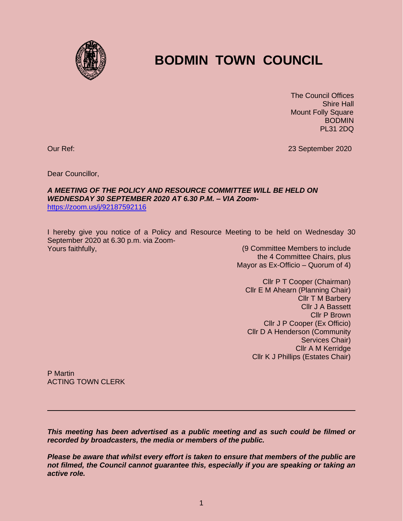

## **BODMIN TOWN COUNCIL**

 The Council Offices Shire Hall Mount Folly Square BODMIN PL31 2DQ

Our Ref: 23 September 2020

Dear Councillor,

## *A MEETING OF THE POLICY AND RESOURCE COMMITTEE WILL BE HELD ON WEDNESDAY 30 SEPTEMBER 2020 AT 6.30 P.M. – VIA Zoom*<https://zoom.us/j/92187592116>

I hereby give you notice of a Policy and Resource Meeting to be held on Wednesday 30 September 2020 at 6.30 p.m. via Zoom-Yours faithfully, (9 Committee Members to include

the 4 Committee Chairs, plus Mayor as Ex-Officio – Quorum of 4)

Cllr P T Cooper (Chairman) Cllr E M Ahearn (Planning Chair) Cllr T M Barbery Cllr J A Bassett Cllr P Brown Cllr J P Cooper (Ex Officio) Cllr D A Henderson (Community Services Chair) Cllr A M Kerridge Cllr K J Phillips (Estates Chair)

Cllr A M Kerridge Cllr K J Phillips

P Martin ACTING TOWN CLERK

*This meeting has been advertised as a public meeting and as such could be filmed or recorded by broadcasters, the media or members of the public.*

*Please be aware that whilst every effort is taken to ensure that members of the public are not filmed, the Council cannot guarantee this, especially if you are speaking or taking an active role.*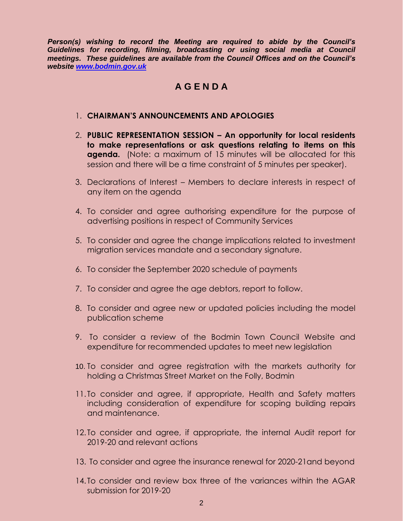*Person(s) wishing to record the Meeting are required to abide by the Council's Guidelines for recording, filming, broadcasting or using social media at Council meetings. These guidelines are available from the Council Offices and on the Council's website [www.bodmin.gov.uk](http://www.bodmin.gov.uk/)*

## **A G E N D A**

## 1. **CHAIRMAN'S ANNOUNCEMENTS AND APOLOGIES**

- 2. **PUBLIC REPRESENTATION SESSION – An opportunity for local residents to make representations or ask questions relating to items on this agenda.** (Note: a maximum of 15 minutes will be allocated for this session and there will be a time constraint of 5 minutes per speaker).
- 3. Declarations of Interest Members to declare interests in respect of any item on the agenda
- 4. To consider and agree authorising expenditure for the purpose of advertising positions in respect of Community Services
- 5. To consider and agree the change implications related to investment migration services mandate and a secondary signature.
- 6. To consider the September 2020 schedule of payments
- 7. To consider and agree the age debtors, report to follow.
- 8. To consider and agree new or updated policies including the model publication scheme
- 9. To consider a review of the Bodmin Town Council Website and expenditure for recommended updates to meet new legislation
- 10. To consider and agree registration with the markets authority for holding a Christmas Street Market on the Folly, Bodmin
- 11. To consider and agree, if appropriate, Health and Safety matters including consideration of expenditure for scoping building repairs and maintenance.
- 12. To consider and agree, if appropriate, the internal Audit report for 2019-20 and relevant actions
- 13. To consider and agree the insurance renewal for 2020-21and beyond
- 14. To consider and review box three of the variances within the AGAR submission for 2019-20